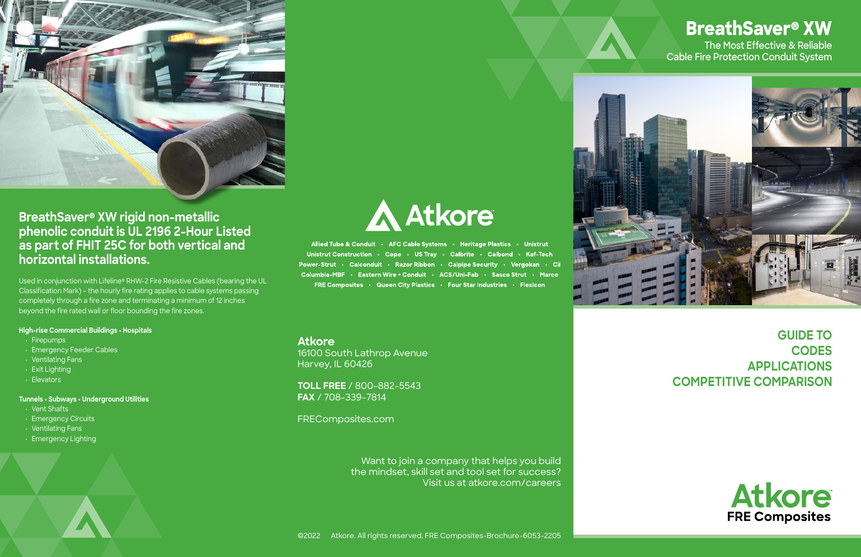



Allied Tube & Conduit . AFC Cable Systems . Heritage Plastics . Unistrut Unistrut Construction . Cope . US Tray . Calbrite . Calbond . Kaf-Tech Power-Strut · Calconduit · Razor Ribbon · Calpipe Security · Vergokan · Cii Columbia-MBF · Eastern Wire + Conduit · ACS/Uni-Fab · Sasco Strut · Marco FRE Composites . Queen City Plastics . Four Star Industries . Flexicon



**BreathSaver® XW rigid non-metallic phenolic conduit is UL 2196 2-Hour Listed as part of FHIT 25C for both vertical and horizontal installations.**

Used in conjunction with Lifeline® RHW-2 Fire Resistive Cables (bearing the UL Classification Mark) – the hourly fire rating applies to cable systems passing completely through a fire zone and terminating a minimum of 12 inches beyond the fire rated wall or floor bounding the fire zones.

## **High-rise Commercial Buildings • Hospitals**

- Firepumps
- Emergency Feeder Cables
- Ventilating Fans
- Exit Lighting
- Elevators

## **Tunnels • Subways • Underground Utilities**

- Vent Shafts
- Emergency Circuits
- Ventilating Fans
- Emergency Lighting

# **The Most Effective & Reliable Cable Fire Protection Conduit System BreathSaver® XW**

# **GUIDE TO CODES APPLICATIONS COMPETITIVE COMPARISON**





**Atkore** 16100 South Lathrop Avenue Harvey, IL 60426

**TOLL FREE** / 800-882-5543 **FAX** / 708-339-7814

FREComposites.com

Want to join a company that helps you build the mindset, skill set and tool set for success? Visit us at atkore.com/careers